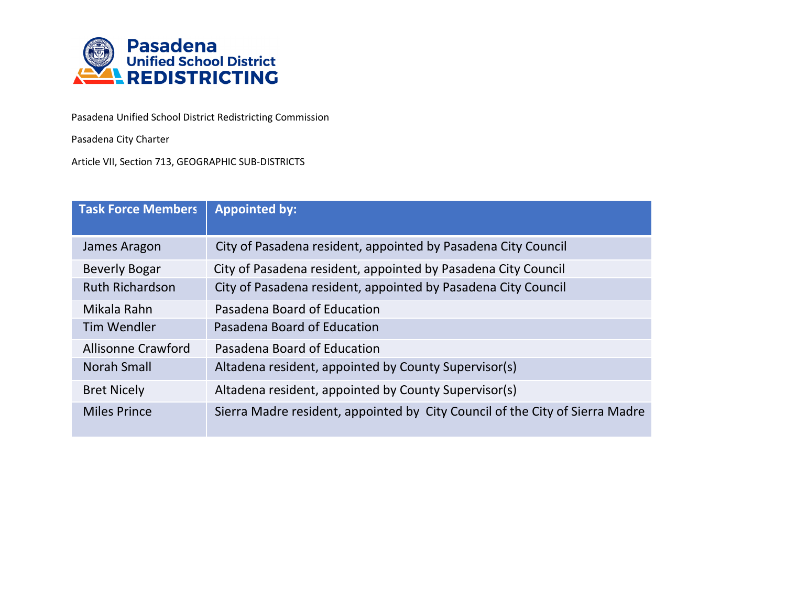

Pasadena Unified School District Redistricting Commission

Pasadena City Charter

Article VII, Section 713, GEOGRAPHIC SUB-DISTRICTS

| <b>Task Force Members</b> | <b>Appointed by:</b>                                                         |
|---------------------------|------------------------------------------------------------------------------|
| James Aragon              | City of Pasadena resident, appointed by Pasadena City Council                |
| <b>Beverly Bogar</b>      | City of Pasadena resident, appointed by Pasadena City Council                |
| <b>Ruth Richardson</b>    | City of Pasadena resident, appointed by Pasadena City Council                |
| Mikala Rahn               | Pasadena Board of Education                                                  |
| <b>Tim Wendler</b>        | Pasadena Board of Education                                                  |
| <b>Allisonne Crawford</b> | Pasadena Board of Education                                                  |
| Norah Small               | Altadena resident, appointed by County Supervisor(s)                         |
| <b>Bret Nicely</b>        | Altadena resident, appointed by County Supervisor(s)                         |
| <b>Miles Prince</b>       | Sierra Madre resident, appointed by City Council of the City of Sierra Madre |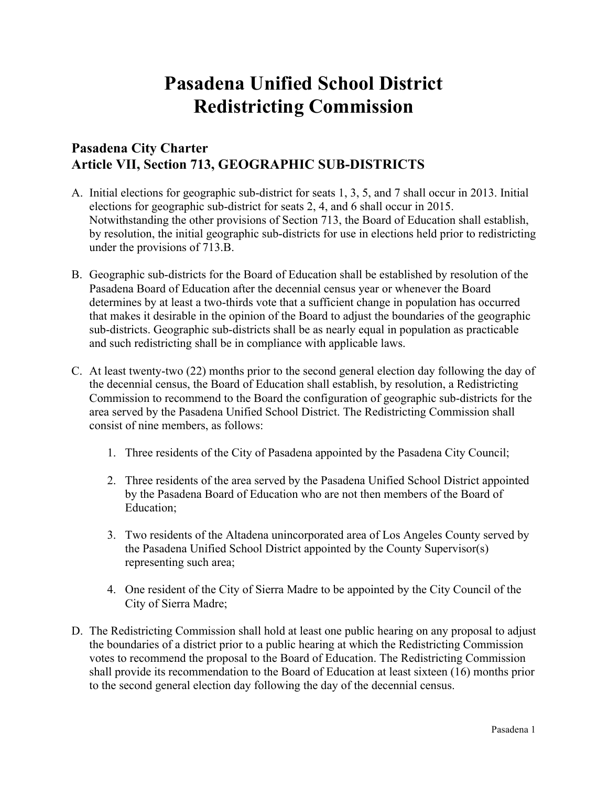## **Pasadena Unified School District Redistricting Commission**

## **Pasadena City Charter Article VII, Section 713, GEOGRAPHIC SUB-DISTRICTS**

- A. Initial elections for geographic sub-district for seats 1, 3, 5, and 7 shall occur in 2013. Initial elections for geographic sub-district for seats 2, 4, and 6 shall occur in 2015. Notwithstanding the other provisions of Section 713, the Board of Education shall establish, by resolution, the initial geographic sub-districts for use in elections held prior to redistricting under the provisions of 713.B.
- B. Geographic sub-districts for the Board of Education shall be established by resolution of the Pasadena Board of Education after the decennial census year or whenever the Board determines by at least a two-thirds vote that a sufficient change in population has occurred that makes it desirable in the opinion of the Board to adjust the boundaries of the geographic sub-districts. Geographic sub-districts shall be as nearly equal in population as practicable and such redistricting shall be in compliance with applicable laws.
- C. At least twenty-two (22) months prior to the second general election day following the day of the decennial census, the Board of Education shall establish, by resolution, a Redistricting Commission to recommend to the Board the configuration of geographic sub-districts for the area served by the Pasadena Unified School District. The Redistricting Commission shall consist of nine members, as follows:
	- 1. Three residents of the City of Pasadena appointed by the Pasadena City Council;
	- 2. Three residents of the area served by the Pasadena Unified School District appointed by the Pasadena Board of Education who are not then members of the Board of Education;
	- 3. Two residents of the Altadena unincorporated area of Los Angeles County served by the Pasadena Unified School District appointed by the County Supervisor(s) representing such area;
	- 4. One resident of the City of Sierra Madre to be appointed by the City Council of the City of Sierra Madre;
- D. The Redistricting Commission shall hold at least one public hearing on any proposal to adjust the boundaries of a district prior to a public hearing at which the Redistricting Commission votes to recommend the proposal to the Board of Education. The Redistricting Commission shall provide its recommendation to the Board of Education at least sixteen (16) months prior to the second general election day following the day of the decennial census.